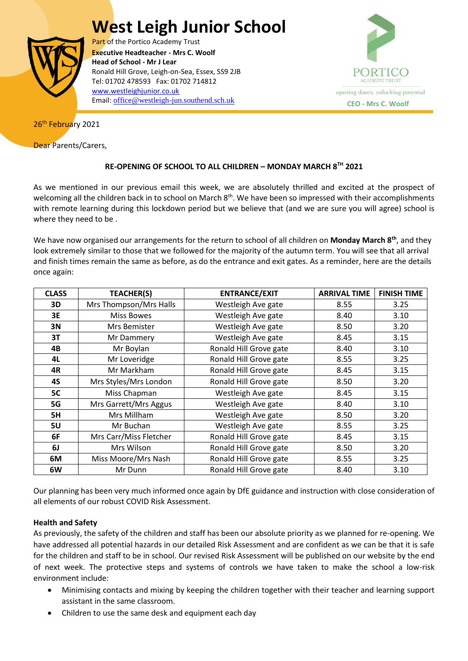# **West Leigh Junior School**



Part of the Portico Academy Trust  Ronald Hill Grove, Leigh-on-Sea, Essex, SS9 2JB **Executive Headteacher - Mrs C. Woolf Head of School - Mr J Lear** Tel: 01702 478593 Fax: 01702 714812 [www.westleighjunior.co.uk](http://www.westleighjunior.co.uk/) Email: [office@westleigh-jun.southend.sch.uk](mailto:office@westleigh-jun.southend.sch.uk) **CEO - Mrs C. Woolf**



26<sup>th</sup> February 2021

Dear Parents/Carers,

# **RE-OPENING OF SCHOOL TO ALL CHILDREN – MONDAY MARCH 8TH 2021**

As we mentioned in our previous email this week, we are absolutely thrilled and excited at the prospect of welcoming all the children back in to school on March 8<sup>th</sup>. We have been so impressed with their accomplishments with remote learning during this lockdown period but we believe that (and we are sure you will agree) school is where they need to be .

We have now organised our arrangements for the return to school of all children on **Monday March 8th**, and they look extremely similar to those that we followed for the majority of the autumn term. You will see that all arrival and finish times remain the same as before, as do the entrance and exit gates. As a reminder, here are the details once again:

| <b>CLASS</b> | <b>TEACHER(S)</b>      | <b>ENTRANCE/EXIT</b>   | <b>ARRIVAL TIME</b> | <b>FINISH TIME</b> |
|--------------|------------------------|------------------------|---------------------|--------------------|
| 3D           | Mrs Thompson/Mrs Halls | Westleigh Ave gate     | 8.55                | 3.25               |
| 3E           | <b>Miss Bowes</b>      | Westleigh Ave gate     | 8.40                | 3.10               |
| 3N           | Mrs Bemister           | Westleigh Ave gate     | 8.50                | 3.20               |
| 3T           | Mr Dammery             | Westleigh Ave gate     | 8.45                | 3.15               |
| 4B           | Mr Boylan              | Ronald Hill Grove gate | 8.40                | 3.10               |
| 4L           | Mr Loveridge           | Ronald Hill Grove gate | 8.55                | 3.25               |
| 4R           | Mr Markham             | Ronald Hill Grove gate | 8.45                | 3.15               |
| 4S           | Mrs Styles/Mrs London  | Ronald Hill Grove gate | 8.50                | 3.20               |
| 5C           | Miss Chapman           | Westleigh Ave gate     | 8.45                | 3.15               |
| 5G           | Mrs Garrett/Mrs Aggus  | Westleigh Ave gate     | 8.40                | 3.10               |
| 5H           | Mrs Millham            | Westleigh Ave gate     | 8.50                | 3.20               |
| 5U           | Mr Buchan              | Westleigh Ave gate     | 8.55                | 3.25               |
| 6F           | Mrs Carr/Miss Fletcher | Ronald Hill Grove gate | 8.45                | 3.15               |
| 6J           | Mrs Wilson             | Ronald Hill Grove gate | 8.50                | 3.20               |
| 6M           | Miss Moore/Mrs Nash    | Ronald Hill Grove gate | 8.55                | 3.25               |
| 6W           | Mr Dunn                | Ronald Hill Grove gate | 8.40                | 3.10               |

Our planning has been very much informed once again by DfE guidance and instruction with close consideration of all elements of our robust COVID Risk Assessment.

# **Health and Safety**

As previously, the safety of the children and staff has been our absolute priority as we planned for re-opening. We have addressed all potential hazards in our detailed Risk Assessment and are confident as we can be that it is safe for the children and staff to be in school. Our revised Risk Assessment will be published on our website by the end of next week. The protective steps and systems of controls we have taken to make the school a low-risk environment include:

- Minimising contacts and mixing by keeping the children together with their teacher and learning support assistant in the same classroom.
- Children to use the same desk and equipment each day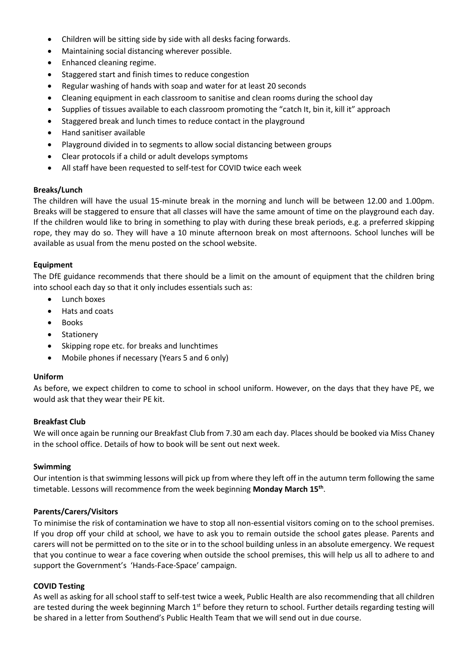- Children will be sitting side by side with all desks facing forwards.
- Maintaining social distancing wherever possible.
- Enhanced cleaning regime.
- Staggered start and finish times to reduce congestion
- Regular washing of hands with soap and water for at least 20 seconds
- Cleaning equipment in each classroom to sanitise and clean rooms during the school day
- Supplies of tissues available to each classroom promoting the "catch It, bin it, kill it" approach
- Staggered break and lunch times to reduce contact in the playground
- Hand sanitiser available
- Playground divided in to segments to allow social distancing between groups
- Clear protocols if a child or adult develops symptoms
- All staff have been requested to self-test for COVID twice each week

#### **Breaks/Lunch**

The children will have the usual 15-minute break in the morning and lunch will be between 12.00 and 1.00pm. Breaks will be staggered to ensure that all classes will have the same amount of time on the playground each day. If the children would like to bring in something to play with during these break periods, e.g. a preferred skipping rope, they may do so. They will have a 10 minute afternoon break on most afternoons. School lunches will be available as usual from the menu posted on the school website.

#### **Equipment**

The DfE guidance recommends that there should be a limit on the amount of equipment that the children bring into school each day so that it only includes essentials such as:

- Lunch boxes
- Hats and coats
- Books
- Stationery
- Skipping rope etc. for breaks and lunchtimes
- Mobile phones if necessary (Years 5 and 6 only)

#### **Uniform**

As before, we expect children to come to school in school uniform. However, on the days that they have PE, we would ask that they wear their PE kit.

## **Breakfast Club**

We will once again be running our Breakfast Club from 7.30 am each day. Places should be booked via Miss Chaney in the school office. Details of how to book will be sent out next week.

#### **Swimming**

Our intention is that swimming lessons will pick up from where they left off in the autumn term following the same timetable. Lessons will recommence from the week beginning **Monday March 15th** .

## **Parents/Carers/Visitors**

To minimise the risk of contamination we have to stop all non-essential visitors coming on to the school premises. If you drop off your child at school, we have to ask you to remain outside the school gates please. Parents and carers will not be permitted on to the site or in to the school building unless in an absolute emergency. We request that you continue to wear a face covering when outside the school premises, this will help us all to adhere to and support the Government's 'Hands-Face-Space' campaign.

## **COVID Testing**

As well as asking for all school staff to self-test twice a week, Public Health are also recommending that all children are tested during the week beginning March  $1<sup>st</sup>$  before they return to school. Further details regarding testing will be shared in a letter from Southend's Public Health Team that we will send out in due course.